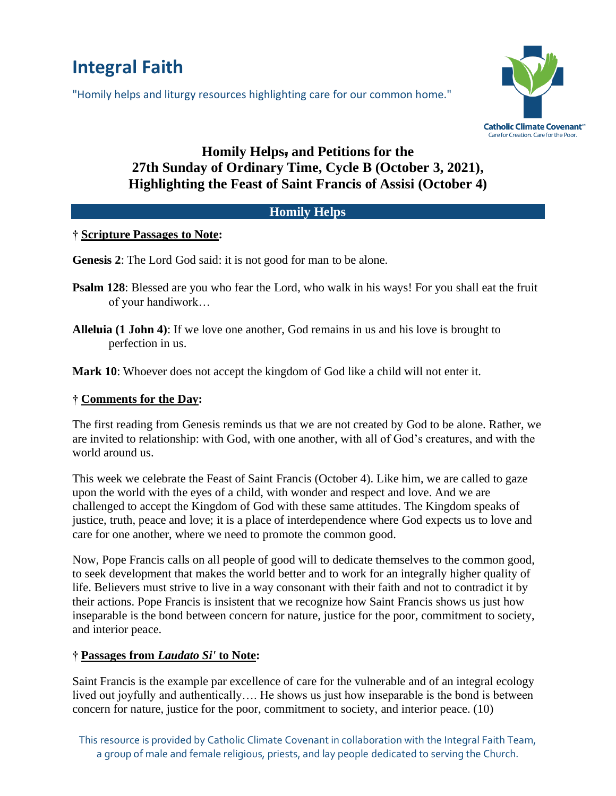# **Integral Faith**

"Homily helps and liturgy resources highlighting care for our common home."



# **Homily Helps, and Petitions for the 27th Sunday of Ordinary Time, Cycle B (October 3, 2021), Highlighting the Feast of Saint Francis of Assisi (October 4)**

### **Homily Helps**

#### **† Scripture Passages to Note:**

**Genesis 2**: The Lord God said: it is not good for man to be alone.

- **Psalm 128**: Blessed are you who fear the Lord, who walk in his ways! For you shall eat the fruit of your handiwork…
- **Alleluia (1 John 4)**: If we love one another, God remains in us and his love is brought to perfection in us.

**Mark 10**: Whoever does not accept the kingdom of God like a child will not enter it.

## **† Comments for the Day:**

The first reading from Genesis reminds us that we are not created by God to be alone. Rather, we are invited to relationship: with God, with one another, with all of God's creatures, and with the world around us.

This week we celebrate the Feast of Saint Francis (October 4). Like him, we are called to gaze upon the world with the eyes of a child, with wonder and respect and love. And we are challenged to accept the Kingdom of God with these same attitudes. The Kingdom speaks of justice, truth, peace and love; it is a place of interdependence where God expects us to love and care for one another, where we need to promote the common good.

Now, Pope Francis calls on all people of good will to dedicate themselves to the common good, to seek development that makes the world better and to work for an integrally higher quality of life. Believers must strive to live in a way consonant with their faith and not to contradict it by their actions. Pope Francis is insistent that we recognize how Saint Francis shows us just how inseparable is the bond between concern for nature, justice for the poor, commitment to society, and interior peace.

# **† Passages from** *Laudato Si'* **to Note:**

Saint Francis is the example par excellence of care for the vulnerable and of an integral ecology lived out joyfully and authentically…. He shows us just how inseparable is the bond is between concern for nature, justice for the poor, commitment to society, and interior peace. (10)

This resource is provided by Catholic Climate Covenant in collaboration with the Integral Faith Team, a group of male and female religious, priests, and lay people dedicated to serving the Church.